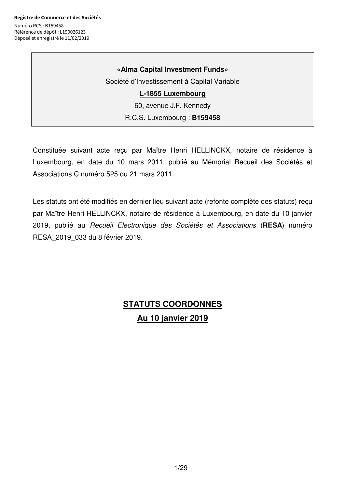# **«Alma Capital Investment Funds»**

Société d'Investissement à Capital Variable

# **L-1855 Luxembourg**

60, avenue J.F. Kennedy

## R.C.S. Luxembourg : **B159458**

Constituée suivant acte reçu par Maître Henri HELLINCKX, notaire de résidence à Luxembourg, en date du 10 mars 2011, publié au Mémorial Recueil des Sociétés et Associations C numéro 525 du 21 mars 2011.

Les statuts ont été modifiés en dernier lieu suivant acte (refonte complète des statuts) reçu par Maître Henri HELLINCKX, notaire de résidence à Luxembourg, en date du 10 janvier 2019, publié au Recueil Electronique des Sociétés et Associations (**RESA**) numéro RESA\_2019\_033 du 8 février 2019.

# **STATUTS COORDONNES Au 10 janvier 2019**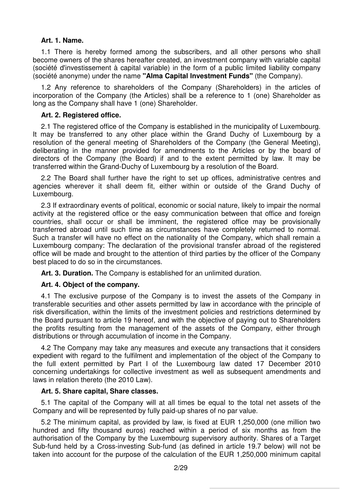### **Art. 1. Name.**

1.1 There is hereby formed among the subscribers, and all other persons who shall become owners of the shares hereafter created, an investment company with variable capital (société d'investissement à capital variable) in the form of a public limited liability company (société anonyme) under the name **"Alma Capital lnvestment Funds"** (the Company).

1.2 Any reference to shareholders of the Company (Shareholders) in the articles of incorporation of the Company (the Articles) shall be a reference to 1 (one) Shareholder as long as the Company shall have 1 (one) Shareholder.

## **Art. 2. Registered office.**

2.1 The registered office of the Company is established in the municipality of Luxembourg. It may be transferred to any other place within the Grand Duchy of Luxembourg by a resolution of the general meeting of Shareholders of the Company (the General Meeting), deliberating in the manner provided for amendments to the Articles or by the board of directors of the Company (the Board) if and to the extent permitted by law. It may be transferred within the Grand-Duchy of Luxembourg by a resolution of the Board.

2.2 The Board shall further have the right to set up offices, administrative centres and agencies wherever it shall deem fit, either within or outside of the Grand Duchy of Luxembourg.

2.3 If extraordinary events of political, economic or social nature, likely to impair the normal activity at the registered office or the easy communication between that office and foreign countries, shall occur or shall be imminent, the registered office may be provisionally transferred abroad until such time as circumstances have completely returned to normal. Such a transfer will have no effect on the nationality of the Company, which shall remain a Luxembourg company: The declaration of the provisional transfer abroad of the registered office will be made and brought to the attention of third parties by the officer of the Company best placed to do so in the circumstances.

**Art. 3. Duration.** The Company is established for an unlimited duration.

# **Art. 4. Object of the company.**

4.1 The exclusive purpose of the Company is to invest the assets of the Company in transferable securities and other assets permitted by law in accordance with the principle of risk diversification, within the limits of the investment policies and restrictions determined by the Board pursuant to article 19 hereof, and with the objective of paying out to Shareholders the profits resulting from the management of the assets of the Company, either through distributions or through accumulation of income in the Company.

4.2 The Company may take any measures and execute any transactions that it considers expedient with regard to the fulfilment and implementation of the object of the Company to the full extent permitted by Part I of the Luxembourg law dated 17 December 2010 concerning undertakings for collective investment as well as subsequent amendments and laws in relation thereto (the 2010 Law).

# **Art. 5. Share capital, Share classes.**

5.1 The capital of the Company will at all times be equal to the total net assets of the Company and will be represented by fully paid-up shares of no par value.

5.2 The minimum capital, as provided by law, is fixed at EUR 1,250,000 (one million two hundred and fifty thousand euros) reached within a period of six months as from the authorisation of the Company by the Luxembourg supervisory authority. Shares of a Target Sub-fund held by a Cross-investing Sub-fund (as defined in article 19.7 below) will not be taken into account for the purpose of the calculation of the EUR 1,250,000 minimum capital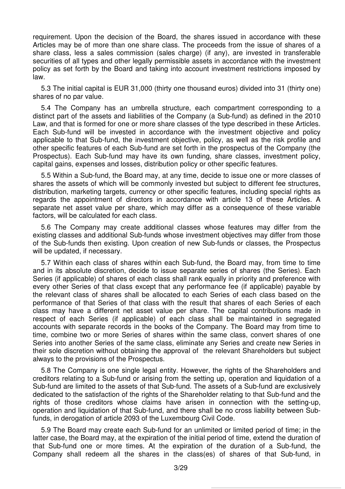requirement. Upon the decision of the Board, the shares issued in accordance with these Articles may be of more than one share class. The proceeds from the issue of shares of a share class, less a sales commission (sales charge) (if any), are invested in transferable securities of all types and other legally permissible assets in accordance with the investment policy as set forth by the Board and taking into account investment restrictions imposed by law.

5.3 The initial capital is EUR 31,000 (thirty one thousand euros) divided into 31 (thirty one) shares of no par value.

5.4 The Company has an umbrella structure, each compartment corresponding to a distinct part of the assets and liabilities of the Company (a Sub-fund) as defined in the 2010 Law, and that is formed for one or more share classes of the type described in these Articles. Each Sub-fund will be invested in accordance with the investment objective and policy applicable to that Sub-fund, the investment objective, policy, as well as the risk profile and other specific features of each Sub-fund are set forth in the prospectus of the Company (the Prospectus). Each Sub-fund may have its own funding, share classes, investment policy, capital gains, expenses and losses, distribution policy or other specific features.

5.5 Within a Sub-fund, the Board may, at any time, decide to issue one or more classes of shares the assets of which will be commonly invested but subject to different fee structures, distribution, marketing targets, currency or other specific features, including special rights as regards the appointment of directors in accordance with article 13 of these Articles. A separate net asset value per share, which may differ as a consequence of these variable factors, will be calculated for each class.

5.6 The Company may create additional classes whose features may differ from the existing classes and additional Sub-funds whose investment objectives may differ from those of the Sub-funds then existing. Upon creation of new Sub-funds or classes, the Prospectus will be updated, if necessary.

5.7 Within each class of shares within each Sub-fund, the Board may, from time to time and in its absolute discretion, decide to issue separate series of shares (the Series). Each Series (if applicable) of shares of each class shall rank equally in priority and preference with every other Series of that class except that any performance fee (if applicable) payable by the relevant class of shares shall be allocated to each Series of each class based on the performance of that Series of that class with the result that shares of each Series of each class may have a different net asset value per share. The capital contributions made in respect of each Series (if applicable) of each class shall be maintained in segregated accounts with separate records in the books of the Company. The Board may from time to time, combine two or more Series of shares within the same class, convert shares of one Series into another Series of the same class, eliminate any Series and create new Series in their sole discretion without obtaining the approval of the relevant Shareholders but subject always to the provisions of the Prospectus.

5.8 The Company is one single legal entity. However, the rights of the Shareholders and creditors relating to a Sub-fund or arising from the setting up, operation and liquidation of a Sub-fund are limited to the assets of that Sub-fund. The assets of a Sub-fund are exclusively dedicated to the satisfaction of the rights of the Shareholder relating to that Sub-fund and the rights of those creditors whose claims have arisen in connection with the setting-up, operation and liquidation of that Sub-fund, and there shall be no cross liability between Subfunds, in derogation of article 2093 of the Luxembourg Civil Code.

5.9 The Board may create each Sub-fund for an unlimited or limited period of time; in the latter case, the Board may, at the expiration of the initial period of time, extend the duration of that Sub-fund one or more times. At the expiration of the duration of a Sub-fund, the Company shall redeem all the shares in the class(es) of shares of that Sub-fund, in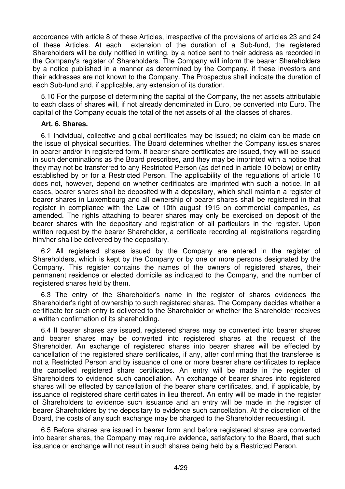accordance with article 8 of these Articles, irrespective of the provisions of articles 23 and 24 of these Articles. At each extension of the duration of a Sub-fund, the registered Shareholders will be duly notified in writing, by a notice sent to their address as recorded in the Company's register of Shareholders. The Company will inform the bearer Shareholders by a notice published in a manner as determined by the Company, if these investors and their addresses are not known to the Company. The Prospectus shall indicate the duration of each Sub-fund and, if applicable, any extension of its duration.

5.10 For the purpose of determining the capital of the Company, the net assets attributable to each class of shares will, if not already denominated in Euro, be converted into Euro. The capital of the Company equals the total of the net assets of all the classes of shares.

### **Art. 6. Shares.**

6.1 Individual, collective and global certificates may be issued; no claim can be made on the issue of physical securities. The Board determines whether the Company issues shares in bearer and/or in registered form. If bearer share certificates are issued, they will be issued in such denominations as the Board prescribes, and they may be imprinted with a notice that they may not be transferred to any Restricted Person (as defined in article 10 below) or entity established by or for a Restricted Person. The applicability of the regulations of article 10 does not, however, depend on whether certificates are imprinted with such a notice. In all cases, bearer shares shall be deposited with a depositary, which shall maintain a register of bearer shares in Luxembourg and all ownership of bearer shares shall be registered in that register in compliance with the Law of 10th august 1915 on commercial companies, as amended. The rights attaching to bearer shares may only be exercised on deposit of the bearer shares with the depositary and registration of all particulars in the register. Upon written request by the bearer Shareholder, a certificate recording all registrations regarding him/her shall be delivered by the depositary.

6.2 All registered shares issued by the Company are entered in the register of Shareholders, which is kept by the Company or by one or more persons designated by the Company. This register contains the names of the owners of registered shares, their permanent residence or elected domicile as indicated to the Company, and the number of registered shares held by them.

6.3 The entry of the Shareholder's name in the register of shares evidences the Shareholder's right of ownership to such registered shares. The Company decides whether a certificate for such entry is delivered to the Shareholder or whether the Shareholder receives a written confirmation of its shareholding.

6.4 If bearer shares are issued, registered shares may be converted into bearer shares and bearer shares may be converted into registered shares at the request of the Shareholder. An exchange of registered shares into bearer shares will be effected by cancellation of the registered share certificates, if any, after confirming that the transferee is not a Restricted Person and by issuance of one or more bearer share certificates to replace the cancelled registered share certificates. An entry will be made in the register of Shareholders to evidence such cancellation. An exchange of bearer shares into registered shares will be effected by cancellation of the bearer share certificates, and, if applicable, by issuance of registered share certificates in lieu thereof. An entry will be made in the register of Shareholders to evidence such issuance and an entry will be made in the register of bearer Shareholders by the depositary to evidence such cancellation. At the discretion of the Board, the costs of any such exchange may be charged to the Shareholder requesting it.

6.5 Before shares are issued in bearer form and before registered shares are converted into bearer shares, the Company may require evidence, satisfactory to the Board, that such issuance or exchange will not result in such shares being held by a Restricted Person.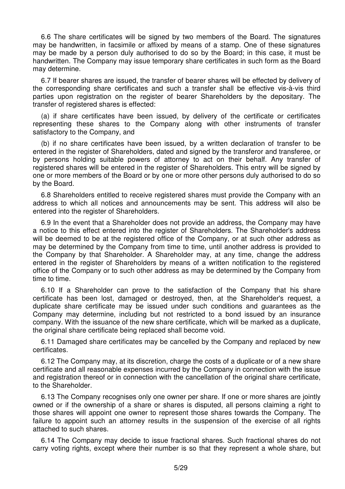6.6 The share certificates will be signed by two members of the Board. The signatures may be handwritten, in facsimile or affixed by means of a stamp. One of these signatures may be made by a person duly authorised to do so by the Board; in this case, it must be handwritten. The Company may issue temporary share certificates in such form as the Board may determine.

6.7 If bearer shares are issued, the transfer of bearer shares will be effected by delivery of the corresponding share certificates and such a transfer shall be effective vis-à-vis third parties upon registration on the register of bearer Shareholders by the depositary. The transfer of registered shares is effected:

(a) if share certificates have been issued, by delivery of the certificate or certificates representing these shares to the Company along with other instruments of transfer satisfactory to the Company, and

(b) if no share certificates have been issued, by a written declaration of transfer to be entered in the register of Shareholders, dated and signed by the transferor and transferee, or by persons holding suitable powers of attorney to act on their behalf. Any transfer of registered shares will be entered in the register of Shareholders. This entry will be signed by one or more members of the Board or by one or more other persons duly authorised to do so by the Board.

6.8 Shareholders entitled to receive registered shares must provide the Company with an address to which all notices and announcements may be sent. This address will also be entered into the register of Shareholders.

6.9 In the event that a Shareholder does not provide an address, the Company may have a notice to this effect entered into the register of Shareholders. The Shareholder's address will be deemed to be at the registered office of the Company, or at such other address as may be determined by the Company from time to time, until another address is provided to the Company by that Shareholder. A Shareholder may, at any time, change the address entered in the register of Shareholders by means of a written notification to the registered office of the Company or to such other address as may be determined by the Company from time to time.

6.10 If a Shareholder can prove to the satisfaction of the Company that his share certificate has been lost, damaged or destroyed, then, at the Shareholder's request, a duplicate share certificate may be issued under such conditions and guarantees as the Company may determine, including but not restricted to a bond issued by an insurance company. With the issuance of the new share certificate, which will be marked as a duplicate, the original share certificate being replaced shall become void.

6.11 Damaged share certificates may be cancelled by the Company and replaced by new certificates.

6.12 The Company may, at its discretion, charge the costs of a duplicate or of a new share certificate and all reasonable expenses incurred by the Company in connection with the issue and registration thereof or in connection with the cancellation of the original share certificate, to the Shareholder.

6.13 The Company recognises only one owner per share. If one or more shares are jointly owned or if the ownership of a share or shares is disputed, all persons claiming a right to those shares will appoint one owner to represent those shares towards the Company. The failure to appoint such an attorney results in the suspension of the exercise of all rights attached to such shares.

6.14 The Company may decide to issue fractional shares. Such fractional shares do not carry voting rights, except where their number is so that they represent a whole share, but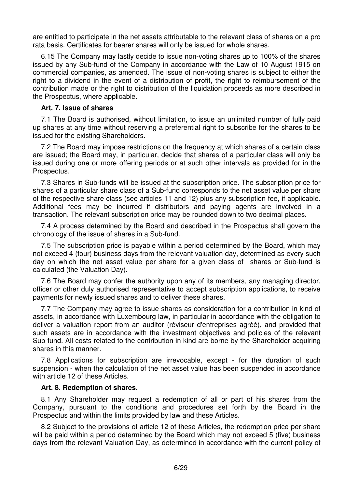are entitled to participate in the net assets attributable to the relevant class of shares on a pro rata basis. Certificates for bearer shares will only be issued for whole shares.

6.15 The Company may lastly decide to issue non-voting shares up to 100% of the shares issued by any Sub-fund of the Company in accordance with the Law of 10 August 1915 on commercial companies, as amended. The issue of non-voting shares is subject to either the right to a dividend in the event of a distribution of profit, the right to reimbursement of the contribution made or the right to distribution of the liquidation proceeds as more described in the Prospectus, where applicable.

### **Art. 7. Issue of shares**

7.1 The Board is authorised, without limitation, to issue an unlimited number of fully paid up shares at any time without reserving a preferential right to subscribe for the shares to be issued for the existing Shareholders.

7.2 The Board may impose restrictions on the frequency at which shares of a certain class are issued; the Board may, in particular, decide that shares of a particular class will only be issued during one or more offering periods or at such other intervals as provided for in the Prospectus.

7.3 Shares in Sub-funds will be issued at the subscription price. The subscription price for shares of a particular share class of a Sub-fund corresponds to the net asset value per share of the respective share class (see articles 11 and 12) plus any subscription fee, if applicable. Additional fees may be incurred if distributors and paying agents are involved in a transaction. The relevant subscription price may be rounded down to two decimal places.

7.4 A process determined by the Board and described in the Prospectus shall govern the chronology of the issue of shares in a Sub-fund.

7.5 The subscription price is payable within a period determined by the Board, which may not exceed 4 (four) business days from the relevant valuation day, determined as every such day on which the net asset value per share for a given class of shares or Sub-fund is calculated (the Valuation Day).

7.6 The Board may confer the authority upon any of its members, any managing director, officer or other duly authorised representative to accept subscription applications, to receive payments for newly issued shares and to deliver these shares.

7.7 The Company may agree to issue shares as consideration for a contribution in kind of assets, in accordance with Luxembourg law, in particular in accordance with the obligation to deliver a valuation report from an auditor (réviseur d'entreprises agréé), and provided that such assets are in accordance with the investment objectives and policies of the relevant Sub-fund. All costs related to the contribution in kind are borne by the Shareholder acquiring shares in this manner.

7.8 Applications for subscription are irrevocable, except - for the duration of such suspension - when the calculation of the net asset value has been suspended in accordance with article 12 of these Articles.

#### **Art. 8. Redemption of shares.**

8.1 Any Shareholder may request a redemption of all or part of his shares from the Company, pursuant to the conditions and procedures set forth by the Board in the Prospectus and within the limits provided by law and these Articles.

8.2 Subject to the provisions of article 12 of these Articles, the redemption price per share will be paid within a period determined by the Board which may not exceed 5 (five) business days from the relevant Valuation Day, as determined in accordance with the current policy of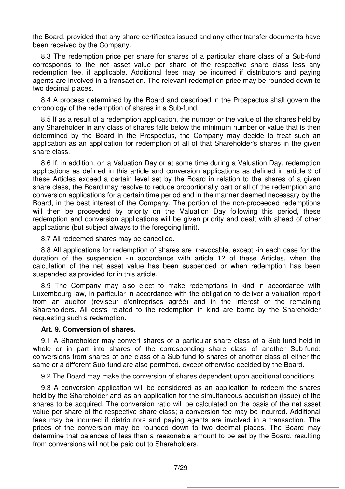the Board, provided that any share certificates issued and any other transfer documents have been received by the Company.

8.3 The redemption price per share for shares of a particular share class of a Sub-fund corresponds to the net asset value per share of the respective share class less any redemption fee, if applicable. Additional fees may be incurred if distributors and paying agents are involved in a transaction. The relevant redemption price may be rounded down to two decimal places.

8.4 A process determined by the Board and described in the Prospectus shall govern the chronology of the redemption of shares in a Sub-fund.

8.5 If as a result of a redemption application, the number or the value of the shares held by any Shareholder in any class of shares falls below the minimum number or value that is then determined by the Board in the Prospectus, the Company may decide to treat such an application as an application for redemption of all of that Shareholder's shares in the given share class.

8.6 If, in addition, on a Valuation Day or at some time during a Valuation Day, redemption applications as defined in this article and conversion applications as defined in article 9 of these Articles exceed a certain level set by the Board in relation to the shares of a given share class, the Board may resolve to reduce proportionally part or all of the redemption and conversion applications for a certain time period and in the manner deemed necessary by the Board, in the best interest of the Company. The portion of the non-proceeded redemptions will then be proceeded by priority on the Valuation Day following this period, these redemption and conversion applications will be given priority and dealt with ahead of other applications (but subject always to the foregoing limit).

8.7 All redeemed shares may be cancelled.

8.8 All applications for redemption of shares are irrevocable, except -in each case for the duration of the suspension -in accordance with article 12 of these Articles, when the calculation of the net asset value has been suspended or when redemption has been suspended as provided for in this article.

8.9 The Company may also elect to make redemptions in kind in accordance with Luxembourg law, in particular in accordance with the obligation to deliver a valuation report from an auditor (réviseur d'entreprises agréé) and in the interest of the remaining Shareholders. All costs related to the redemption in kind are borne by the Shareholder requesting such a redemption.

# **Art. 9. Conversion of shares.**

9.1 A Shareholder may convert shares of a particular share class of a Sub-fund held in whole or in part into shares of the corresponding share class of another Sub-fund; conversions from shares of one class of a Sub-fund to shares of another class of either the same or a different Sub-fund are also permitted, except otherwise decided by the Board.

9.2 The Board may make the conversion of shares dependent upon additional conditions.

9.3 A conversion application will be considered as an application to redeem the shares held by the Shareholder and as an application for the simultaneous acquisition (issue) of the shares to be acquired. The conversion ratio will be calculated on the basis of the net asset value per share of the respective share class; a conversion fee may be incurred. Additional fees may be incurred if distributors and paying agents are involved in a transaction. The prices of the conversion may be rounded down to two decimal places. The Board may determine that balances of less than a reasonable amount to be set by the Board, resulting from conversions will not be paid out to Shareholders.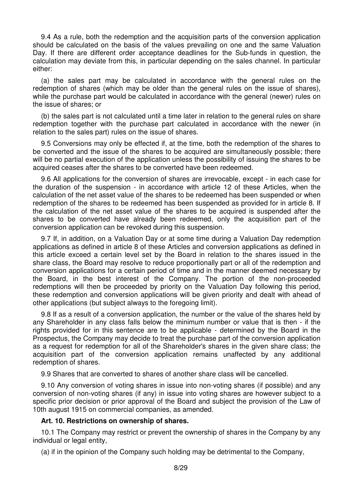9.4 As a rule, both the redemption and the acquisition parts of the conversion application should be calculated on the basis of the values prevailing on one and the same Valuation Day. If there are different order acceptance deadlines for the Sub-funds in question, the calculation may deviate from this, in particular depending on the sales channel. In particular either:

(a) the sales part may be calculated in accordance with the general rules on the redemption of shares (which may be older than the general rules on the issue of shares), while the purchase part would be calculated in accordance with the general (newer) rules on the issue of shares; or

(b) the sales part is not calculated until a time later in relation to the general rules on share redemption together with the purchase part calculated in accordance with the newer (in relation to the sales part) rules on the issue of shares.

9.5 Conversions may only be effected if, at the time, both the redemption of the shares to be converted and the issue of the shares to be acquired are simultaneously possible; there will be no partial execution of the application unless the possibility of issuing the shares to be acquired ceases after the shares to be converted have been redeemed.

9.6 All applications for the conversion of shares are irrevocable, except - in each case for the duration of the suspension - in accordance with article 12 of these Articles, when the calculation of the net asset value of the shares to be redeemed has been suspended or when redemption of the shares to be redeemed has been suspended as provided for in article 8. If the calculation of the net asset value of the shares to be acquired is suspended after the shares to be converted have already been redeemed, only the acquisition part of the conversion application can be revoked during this suspension.

9.7 If, in addition, on a Valuation Day or at some time during a Valuation Day redemption applications as defined in article 8 of these Articles and conversion applications as defined in this article exceed a certain level set by the Board in relation to the shares issued in the share class, the Board may resolve to reduce proportionally part or all of the redemption and conversion applications for a certain period of time and in the manner deemed necessary by the Board, in the best interest of the Company. The portion of the non-proceeded redemptions will then be proceeded by priority on the Valuation Day following this period, these redemption and conversion applications will be given priority and dealt with ahead of other applications (but subject always to the foregoing limit).

9.8 If as a result of a conversion application, the number or the value of the shares held by any Shareholder in any class falls below the minimum number or value that is then - if the rights provided for in this sentence are to be applicable - determined by the Board in the Prospectus, the Company may decide to treat the purchase part of the conversion application as a request for redemption for all of the Shareholder's shares in the given share class; the acquisition part of the conversion application remains unaffected by any additional redemption of shares.

9.9 Shares that are converted to shares of another share class will be cancelled.

9.10 Any conversion of voting shares in issue into non-voting shares (if possible) and any conversion of non-voting shares (if any) in issue into voting shares are however subject to a specific prior decision or prior approval of the Board and subject the provision of the Law of 10th august 1915 on commercial companies, as amended.

# **Art. 10. Restrictions on ownership of shares.**

10.1 The Company may restrict or prevent the ownership of shares in the Company by any individual or legal entity,

(a) if in the opinion of the Company such holding may be detrimental to the Company,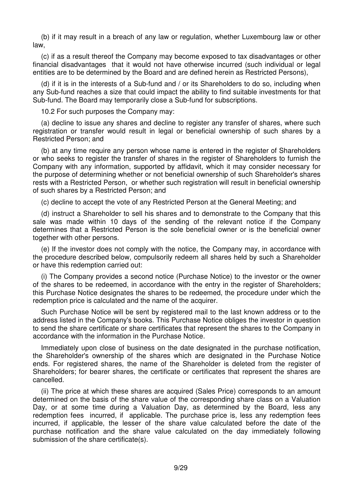(b) if it may result in a breach of any law or regulation, whether Luxembourg law or other law,

(c) if as a result thereof the Company may become exposed to tax disadvantages or other financial disadvantages that it would not have otherwise incurred (such individual or legal entities are to be determined by the Board and are defined herein as Restricted Persons),

(d) if it is in the interests of a Sub-fund and / or its Shareholders to do so, including when any Sub-fund reaches a size that could impact the ability to find suitable investments for that Sub-fund. The Board may temporarily close a Sub-fund for subscriptions.

10.2 For such purposes the Company may:

(a) decline to issue any shares and decline to register any transfer of shares, where such registration or transfer would result in legal or beneficial ownership of such shares by a Restricted Person; and

(b) at any time require any person whose name is entered in the register of Shareholders or who seeks to register the transfer of shares in the register of Shareholders to furnish the Company with any information, supported by affidavit, which it may consider necessary for the purpose of determining whether or not beneficial ownership of such Shareholder's shares rests with a Restricted Person, or whether such registration will result in beneficial ownership of such shares by a Restricted Person; and

(c) decline to accept the vote of any Restricted Person at the General Meeting; and

(d) instruct a Shareholder to sell his shares and to demonstrate to the Company that this sale was made within 10 days of the sending of the relevant notice if the Company determines that a Restricted Person is the sole beneficial owner or is the beneficial owner together with other persons.

(e) If the investor does not comply with the notice, the Company may, in accordance with the procedure described below, compulsorily redeem all shares held by such a Shareholder or have this redemption carried out:

(i) The Company provides a second notice (Purchase Notice) to the investor or the owner of the shares to be redeemed, in accordance with the entry in the register of Shareholders; this Purchase Notice designates the shares to be redeemed, the procedure under which the redemption price is calculated and the name of the acquirer.

Such Purchase Notice will be sent by registered mail to the last known address or to the address listed in the Company's books. This Purchase Notice obliges the investor in question to send the share certificate or share certificates that represent the shares to the Company in accordance with the information in the Purchase Notice.

Immediately upon close of business on the date designated in the purchase notification, the Shareholder's ownership of the shares which are designated in the Purchase Notice ends. For registered shares, the name of the Shareholder is deleted from the register of Shareholders; for bearer shares, the certificate or certificates that represent the shares are cancelled.

(ii) The price at which these shares are acquired (Sales Price) corresponds to an amount determined on the basis of the share value of the corresponding share class on a Valuation Day, or at some time during a Valuation Day, as determined by the Board, less any redemption fees incurred, if applicable. The purchase price is, less any redemption fees incurred, if applicable, the lesser of the share value calculated before the date of the purchase notification and the share value calculated on the day immediately following submission of the share certificate(s).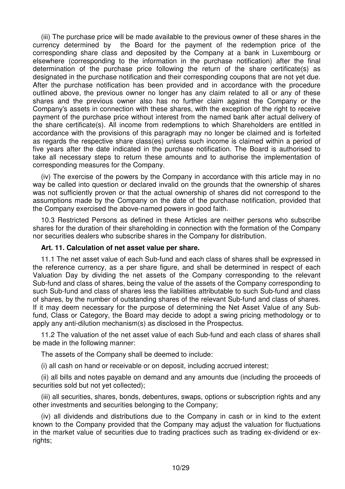(iii) The purchase price will be made available to the previous owner of these shares in the currency determined by the Board for the payment of the redemption price of the corresponding share class and deposited by the Company at a bank in Luxembourg or elsewhere (corresponding to the information in the purchase notification) after the final determination of the purchase price following the return of the share certificate(s) as designated in the purchase notification and their corresponding coupons that are not yet due. After the purchase notification has been provided and in accordance with the procedure outlined above, the previous owner no longer has any claim related to all or any of these shares and the previous owner also has no further claim against the Company or the Company's assets in connection with these shares, with the exception of the right to receive payment of the purchase price without interest from the named bank after actual delivery of the share certificate(s). All income from redemptions to which Shareholders are entitled in accordance with the provisions of this paragraph may no longer be claimed and is forfeited as regards the respective share class(es) unless such income is claimed within a period of five years after the date indicated in the purchase notification. The Board is authorised to take all necessary steps to return these amounts and to authorise the implementation of corresponding measures for the Company.

(iv) The exercise of the powers by the Company in accordance with this article may in no way be called into question or declared invalid on the grounds that the ownership of shares was not sufficiently proven or that the actual ownership of shares did not correspond to the assumptions made by the Company on the date of the purchase notification, provided that the Company exercised the above-named powers in good faith.

10.3 Restricted Persons as defined in these Articles are neither persons who subscribe shares for the duration of their shareholding in connection with the formation of the Company nor securities dealers who subscribe shares in the Company for distribution.

# **Art. 11. Calculation of net asset value per share.**

11.1 The net asset value of each Sub-fund and each class of shares shall be expressed in the reference currency, as a per share figure, and shall be determined in respect of each Valuation Day by dividing the net assets of the Company corresponding to the relevant Sub-fund and class of shares, being the value of the assets of the Company corresponding to such Sub-fund and class of shares less the liabilities attributable to such Sub-fund and class of shares, by the number of outstanding shares of the relevant Sub-fund and class of shares. If it may deem necessary for the purpose of determining the Net Asset Value of any Subfund, Class or Category, the Board may decide to adopt a swing pricing methodology or to apply any anti-dilution mechanism(s) as disclosed in the Prospectus.

11.2 The valuation of the net asset value of each Sub-fund and each class of shares shall be made in the following manner:

The assets of the Company shall be deemed to include:

(i) all cash on hand or receivable or on deposit, including accrued interest;

(ii) all bills and notes payable on demand and any amounts due (including the proceeds of securities sold but not yet collected);

(iii) all securities, shares, bonds, debentures, swaps, options or subscription rights and any other investments and securities belonging to the Company;

(iv) all dividends and distributions due to the Company in cash or in kind to the extent known to the Company provided that the Company may adjust the valuation for fluctuations in the market value of securities due to trading practices such as trading ex-dividend or exrights;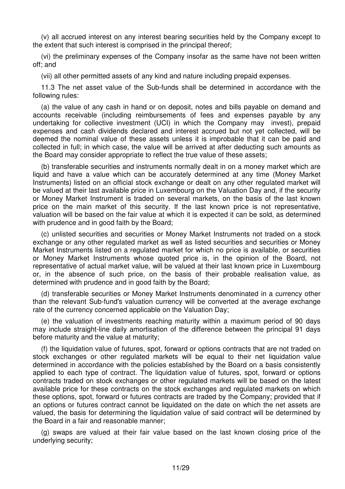(v) all accrued interest on any interest bearing securities held by the Company except to the extent that such interest is comprised in the principal thereof;

(vi) the preliminary expenses of the Company insofar as the same have not been written off; and

(vii) all other permitted assets of any kind and nature including prepaid expenses.

11.3 The net asset value of the Sub-funds shall be determined in accordance with the following rules:

(a) the value of any cash in hand or on deposit, notes and bills payable on demand and accounts receivable (including reimbursements of fees and expenses payable by any undertaking for collective investment (UCI) in which the Company may invest), prepaid expenses and cash dividends declared and interest accrued but not yet collected, will be deemed the nominal value of these assets unless it is improbable that it can be paid and collected in full; in which case, the value will be arrived at after deducting such amounts as the Board may consider appropriate to reflect the true value of these assets;

(b) transferable securities and instruments normally dealt in on a money market which are liquid and have a value which can be accurately determined at any time (Money Market Instruments) listed on an official stock exchange or dealt on any other regulated market will be valued at their last available price in Luxembourg on the Valuation Day and, if the security or Money Market Instrument is traded on several markets, on the basis of the last known price on the main market of this security. If the last known price is not representative, valuation will be based on the fair value at which it is expected it can be sold, as determined with prudence and in good faith by the Board;

(c) unlisted securities and securities or Money Market Instruments not traded on a stock exchange or any other regulated market as well as listed securities and securities or Money Market Instruments listed on a regulated market for which no price is available, or securities or Money Market Instruments whose quoted price is, in the opinion of the Board, not representative of actual market value, will be valued at their last known price in Luxembourg or, in the absence of such price, on the basis of their probable realisation value, as determined with prudence and in good faith by the Board;

(d) transferable securities or Money Market Instruments denominated in a currency other than the relevant Sub-fund's valuation currency will be converted at the average exchange rate of the currency concerned applicable on the Valuation Day;

(e) the valuation of investments reaching maturity within a maximum period of 90 days may include straight-line daily amortisation of the difference between the principal 91 days before maturity and the value at maturity;

(f) the liquidation value of futures, spot, forward or options contracts that are not traded on stock exchanges or other regulated markets will be equal to their net liquidation value determined in accordance with the policies established by the Board on a basis consistently applied to each type of contract. The liquidation value of futures, spot, forward or options contracts traded on stock exchanges or other regulated markets will be based on the latest available price for these contracts on the stock exchanges and regulated markets on which these options, spot, forward or futures contracts are traded by the Company; provided that if an options or futures contract cannot be liquidated on the date on which the net assets are valued, the basis for determining the liquidation value of said contract will be determined by the Board in a fair and reasonable manner;

(g) swaps are valued at their fair value based on the last known closing price of the underlying security;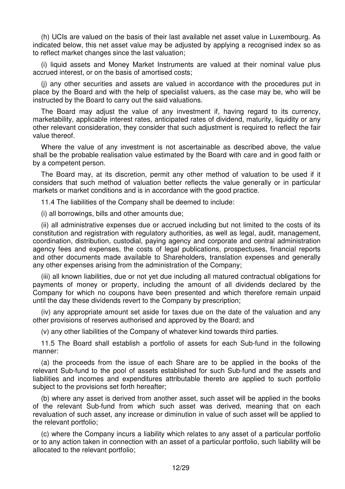(h) UCIs are valued on the basis of their last available net asset value in Luxembourg. As indicated below, this net asset value may be adjusted by applying a recognised index so as to reflect market changes since the last valuation;

(i) liquid assets and Money Market Instruments are valued at their nominal value plus accrued interest, or on the basis of amortised costs;

(j) any other securities and assets are valued in accordance with the procedures put in place by the Board and with the help of specialist valuers, as the case may be, who will be instructed by the Board to carry out the said valuations.

The Board may adjust the value of any investment if, having regard to its currency, marketability, applicable interest rates, anticipated rates of dividend, maturity, liquidity or any other relevant consideration, they consider that such adjustment is required to reflect the fair value thereof.

Where the value of any investment is not ascertainable as described above, the value shall be the probable realisation value estimated by the Board with care and in good faith or by a competent person.

The Board may, at its discretion, permit any other method of valuation to be used if it considers that such method of valuation better reflects the value generally or in particular markets or market conditions and is in accordance with the good practice.

11.4 The liabilities of the Company shall be deemed to include:

(i) all borrowings, bills and other amounts due;

(ii) all administrative expenses due or accrued including but not limited to the costs of its constitution and registration with regulatory authorities, as well as legal, audit, management, coordination, distribution, custodial, paying agency and corporate and central administration agency fees and expenses, the costs of legal publications, prospectuses, financial reports and other documents made available to Shareholders, translation expenses and generally any other expenses arising from the administration of the Company;

(iii) all known liabilities, due or not yet due including all matured contractual obligations for payments of money or property, including the amount of all dividends declared by the Company for which no coupons have been presented and which therefore remain unpaid until the day these dividends revert to the Company by prescription;

(iv) any appropriate amount set aside for taxes due on the date of the valuation and any other provisions of reserves authorised and approved by the Board; and

(v) any other liabilities of the Company of whatever kind towards third parties.

11.5 The Board shall establish a portfolio of assets for each Sub-fund in the following manner:

(a) the proceeds from the issue of each Share are to be applied in the books of the relevant Sub-fund to the pool of assets established for such Sub-fund and the assets and liabilities and incomes and expenditures attributable thereto are applied to such portfolio subject to the provisions set forth hereafter;

(b) where any asset is derived from another asset, such asset will be applied in the books of the relevant Sub-fund from which such asset was derived, meaning that on each revaluation of such asset, any increase or diminution in value of such asset will be applied to the relevant portfolio;

(c) where the Company incurs a liability which relates to any asset of a particular portfolio or to any action taken in connection with an asset of a particular portfolio, such liability will be allocated to the relevant portfolio;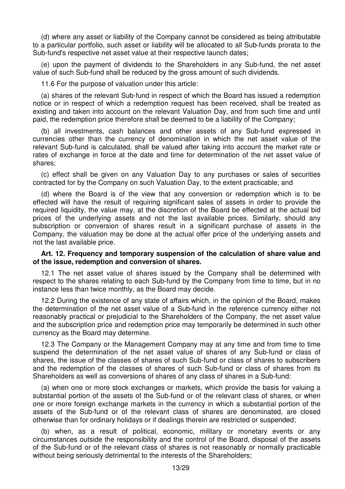(d) where any asset or liability of the Company cannot be considered as being attributable to a particular portfolio, such asset or liability will be allocated to all Sub-funds prorata to the Sub-fund's respective net asset value at their respective launch dates;

(e) upon the payment of dividends to the Shareholders in any Sub-fund, the net asset value of such Sub-fund shall be reduced by the gross amount of such dividends.

11.6 For the purpose of valuation under this article:

(a) shares of the relevant Sub-fund in respect of which the Board has issued a redemption notice or in respect of which a redemption request has been received, shall be treated as existing and taken into account on the relevant Valuation Day, and from such time and until paid, the redemption price therefore shall be deemed to be a liability of the Company;

(b) all investments, cash balances and other assets of any Sub-fund expressed in currencies other than the currency of denomination in which the net asset value of the relevant Sub-fund is calculated, shall be valued after taking into account the market rate or rates of exchange in force at the date and time for determination of the net asset value of shares;

(c) effect shall be given on any Valuation Day to any purchases or sales of securities contracted for by the Company on such Valuation Day, to the extent practicable; and

(d) where the Board is of the view that any conversion or redemption which is to be effected will have the result of requiring significant sales of assets in order to provide the required liquidity, the value may, at the discretion of the Board be effected at the actual bid prices of the underlying assets and not the last available prices. Similarly, should any subscription or conversion of shares result in a significant purchase of assets in the Company, the valuation may be done at the actual offer price of the underlying assets and not the last available price.

### **Art. 12. Frequency and temporary suspension of the calculation of share value and of the issue, redemption and conversion of shares.**

12.1 The net asset value of shares issued by the Company shall be determined with respect to the shares relating to each Sub-fund by the Company from time to time, but in no instance less than twice monthly, as the Board may decide.

12.2 During the existence of any state of affairs which, in the opinion of the Board, makes the determination of the net asset value of a Sub-fund in the reference currency either not reasonably practical or prejudicial to the Shareholders of the Company, the net asset value and the subscription price and redemption price may temporarily be determined in such other currency as the Board may determine.

12.3 The Company or the Management Company may at any time and from time to time suspend the determination of the net asset value of shares of any Sub-fund or class of shares, the issue of the classes of shares of such Sub-fund or class of shares to subscribers and the redemption of the classes of shares of such Sub-fund or class of shares from its Shareholders as well as conversions of shares of any class of shares in a Sub-fund:

(a) when one or more stock exchanges or markets, which provide the basis for valuing a substantial portion of the assets of the Sub-fund or of the relevant class of shares, or when one or more foreign exchange markets in the currency in which a substantial portion of the assets of the Sub-fund or of the relevant class of shares are denominated, are closed otherwise than for ordinary holidays or if dealings therein are restricted or suspended;

(b) when, as a result of political, economic, military or monetary events or any circumstances outside the responsibility and the control of the Board, disposal of the assets of the Sub-fund or of the relevant class of shares is not reasonably or normally practicable without being seriously detrimental to the interests of the Shareholders;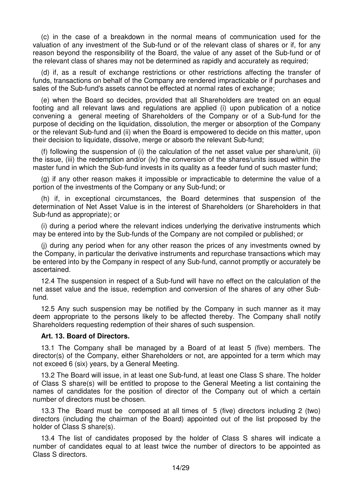(c) in the case of a breakdown in the normal means of communication used for the valuation of any investment of the Sub-fund or of the relevant class of shares or if, for any reason beyond the responsibility of the Board, the value of any asset of the Sub-fund or of the relevant class of shares may not be determined as rapidly and accurately as required;

(d) if, as a result of exchange restrictions or other restrictions affecting the transfer of funds, transactions on behalf of the Company are rendered impracticable or if purchases and sales of the Sub-fund's assets cannot be effected at normal rates of exchange;

(e) when the Board so decides, provided that all Shareholders are treated on an equal footing and all relevant laws and regulations are applied (i) upon publication of a notice convening a general meeting of Shareholders of the Company or of a Sub-fund for the purpose of deciding on the liquidation, dissolution, the merger or absorption of the Company or the relevant Sub-fund and (ii) when the Board is empowered to decide on this matter, upon their decision to liquidate, dissolve, merge or absorb the relevant Sub-fund;

(f) following the suspension of (i) the calculation of the net asset value per share/unit, (ii) the issue, (iii) the redemption and/or (iv) the conversion of the shares/units issued within the master fund in which the Sub-fund invests in its quality as a feeder fund of such master fund;

(g) if any other reason makes it impossible or impracticable to determine the value of a portion of the investments of the Company or any Sub-fund; or

(h) if, in exceptional circumstances, the Board determines that suspension of the determination of Net Asset Value is in the interest of Shareholders (or Shareholders in that Sub-fund as appropriate); or

(i) during a period where the relevant indices underlying the derivative instruments which may be entered into by the Sub-funds of the Company are not compiled or published; or

(j) during any period when for any other reason the prices of any investments owned by the Company, in particular the derivative instruments and repurchase transactions which may be entered into by the Company in respect of any Sub-fund, cannot promptly or accurately be ascertained.

12.4 The suspension in respect of a Sub-fund will have no effect on the calculation of the net asset value and the issue, redemption and conversion of the shares of any other Subfund.

12.5 Any such suspension may be notified by the Company in such manner as it may deem appropriate to the persons likely to be affected thereby. The Company shall notify Shareholders requesting redemption of their shares of such suspension.

#### **Art. 13. Board of Directors.**

13.1 The Company shall be managed by a Board of at least 5 (five) members. The director(s) of the Company, either Shareholders or not, are appointed for a term which may not exceed 6 (six) years, by a General Meeting.

13.2 The Board will issue, in at least one Sub-fund, at least one Class S share. The holder of Class S share(s) will be entitled to propose to the General Meeting a list containing the names of candidates for the position of director of the Company out of which a certain number of directors must be chosen.

13.3 The Board must be composed at all times of 5 (five) directors including 2 (two) directors (including the chairman of the Board) appointed out of the list proposed by the holder of Class S share(s).

13.4 The list of candidates proposed by the holder of Class S shares will indicate a number of candidates equal to at least twice the number of directors to be appointed as Class S directors.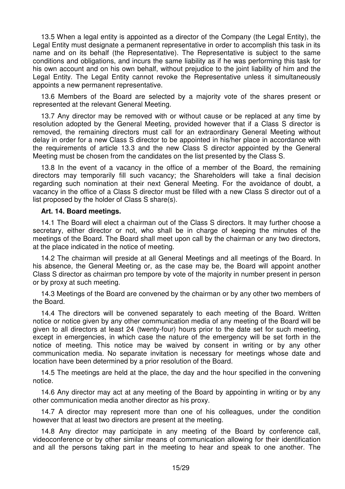13.5 When a legal entity is appointed as a director of the Company (the Legal Entity), the Legal Entity must designate a permanent representative in order to accomplish this task in its name and on its behalf (the Representative). The Representative is subject to the same conditions and obligations, and incurs the same liability as if he was performing this task for his own account and on his own behalf, without prejudice to the joint liability of him and the Legal Entity. The Legal Entity cannot revoke the Representative unless it simultaneously appoints a new permanent representative.

13.6 Members of the Board are selected by a majority vote of the shares present or represented at the relevant General Meeting.

13.7 Any director may be removed with or without cause or be replaced at any time by resolution adopted by the General Meeting, provided however that if a Class S director is removed, the remaining directors must call for an extraordinary General Meeting without delay in order for a new Class S director to be appointed in his/her place in accordance with the requirements of article 13.3 and the new Class S director appointed by the General Meeting must be chosen from the candidates on the list presented by the Class S.

13.8 In the event of a vacancy in the office of a member of the Board, the remaining directors may temporarily fill such vacancy; the Shareholders will take a final decision regarding such nomination at their next General Meeting. For the avoidance of doubt, a vacancy in the office of a Class S director must be filled with a new Class S director out of a list proposed by the holder of Class S share(s).

#### **Art. 14. Board meetings.**

14.1 The Board will elect a chairman out of the Class S directors. It may further choose a secretary, either director or not, who shall be in charge of keeping the minutes of the meetings of the Board. The Board shall meet upon call by the chairman or any two directors, at the place indicated in the notice of meeting.

14.2 The chairman will preside at all General Meetings and all meetings of the Board. In his absence, the General Meeting or, as the case may be, the Board will appoint another Class S director as chairman pro tempore by vote of the majority in number present in person or by proxy at such meeting.

14.3 Meetings of the Board are convened by the chairman or by any other two members of the Board.

14.4 The directors will be convened separately to each meeting of the Board. Written notice or notice given by any other communication media of any meeting of the Board will be given to all directors at least 24 (twenty-four) hours prior to the date set for such meeting, except in emergencies, in which case the nature of the emergency will be set forth in the notice of meeting. This notice may be waived by consent in writing or by any other communication media. No separate invitation is necessary for meetings whose date and location have been determined by a prior resolution of the Board.

14.5 The meetings are held at the place, the day and the hour specified in the convening notice.

14.6 Any director may act at any meeting of the Board by appointing in writing or by any other communication media another director as his proxy.

14.7 A director may represent more than one of his colleagues, under the condition however that at least two directors are present at the meeting.

14.8 Any director may participate in any meeting of the Board by conference call, videoconference or by other similar means of communication allowing for their identification and all the persons taking part in the meeting to hear and speak to one another. The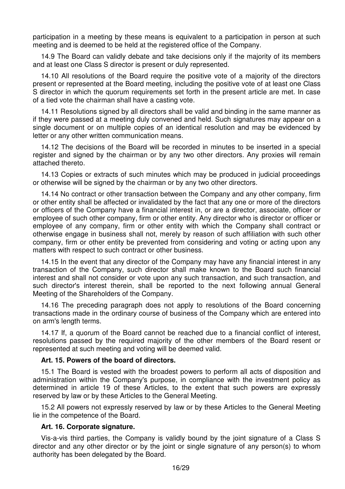participation in a meeting by these means is equivalent to a participation in person at such meeting and is deemed to be held at the registered office of the Company.

14.9 The Board can validly debate and take decisions only if the majority of its members and at least one Class S director is present or duly represented.

14.10 All resolutions of the Board require the positive vote of a majority of the directors present or represented at the Board meeting, including the positive vote of at least one Class S director in which the quorum requirements set forth in the present article are met. In case of a tied vote the chairman shall have a casting vote.

14.11 Resolutions signed by all directors shall be valid and binding in the same manner as if they were passed at a meeting duly convened and held. Such signatures may appear on a single document or on multiple copies of an identical resolution and may be evidenced by letter or any other written communication means.

14.12 The decisions of the Board will be recorded in minutes to be inserted in a special register and signed by the chairman or by any two other directors. Any proxies will remain attached thereto.

14.13 Copies or extracts of such minutes which may be produced in judicial proceedings or otherwise will be signed by the chairman or by any two other directors.

14.14 No contract or other transaction between the Company and any other company, firm or other entity shall be affected or invalidated by the fact that any one or more of the directors or officers of the Company have a financial interest in, or are a director, associate, officer or employee of such other company, firm or other entity. Any director who is director or officer or employee of any company, firm or other entity with which the Company shall contract or otherwise engage in business shall not, merely by reason of such affiliation with such other company, firm or other entity be prevented from considering and voting or acting upon any matters with respect to such contract or other business.

14.15 In the event that any director of the Company may have any financial interest in any transaction of the Company, such director shall make known to the Board such financial interest and shall not consider or vote upon any such transaction, and such transaction, and such director's interest therein, shall be reported to the next following annual General Meeting of the Shareholders of the Company.

14.16 The preceding paragraph does not apply to resolutions of the Board concerning transactions made in the ordinary course of business of the Company which are entered into on arm's length terms.

14.17 If, a quorum of the Board cannot be reached due to a financial conflict of interest, resolutions passed by the required majority of the other members of the Board resent or represented at such meeting and voting will be deemed valid.

#### **Art. 15. Powers of the board of directors.**

15.1 The Board is vested with the broadest powers to perform all acts of disposition and administration within the Company's purpose, in compliance with the investment policy as determined in article 19 of these Articles, to the extent that such powers are expressly reserved by law or by these Articles to the General Meeting.

15.2 All powers not expressly reserved by law or by these Articles to the General Meeting lie in the competence of the Board.

#### **Art. 16. Corporate signature.**

Vis-a-vis third parties, the Company is validly bound by the joint signature of a Class S director and any other director or by the joint or single signature of any person(s) to whom authority has been delegated by the Board.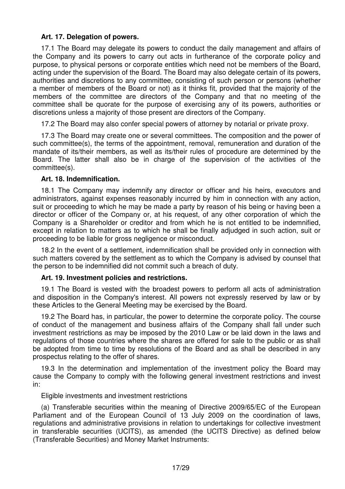# **Art. 17. Delegation of powers.**

17.1 The Board may delegate its powers to conduct the daily management and affairs of the Company and its powers to carry out acts in furtherance of the corporate policy and purpose, to physical persons or corporate entities which need not be members of the Board, acting under the supervision of the Board. The Board may also delegate certain of its powers, authorities and discretions to any committee, consisting of such person or persons (whether a member of members of the Board or not) as it thinks fit, provided that the majority of the members of the committee are directors of the Company and that no meeting of the committee shall be quorate for the purpose of exercising any of its powers, authorities or discretions unless a majority of those present are directors of the Company.

17.2 The Board may also confer special powers of attorney by notarial or private proxy.

17.3 The Board may create one or several committees. The composition and the power of such committee(s), the terms of the appointment, removal, remuneration and duration of the mandate of its/their members, as well as its/their rules of procedure are determined by the Board. The latter shall also be in charge of the supervision of the activities of the committee(s).

### **Art. 18. Indemnification.**

18.1 The Company may indemnify any director or officer and his heirs, executors and administrators, against expenses reasonably incurred by him in connection with any action, suit or proceeding to which he may be made a party by reason of his being or having been a director or officer of the Company or, at his request, of any other corporation of which the Company is a Shareholder or creditor and from which he is not entitled to be indemnified, except in relation to matters as to which he shall be finally adjudged in such action, suit or proceeding to be liable for gross negligence or misconduct.

18.2 In the event of a settlement, indemnification shall be provided only in connection with such matters covered by the settlement as to which the Company is advised by counsel that the person to be indemnified did not commit such a breach of duty.

# **Art. 19. Investment policies and restrictions.**

19.1 The Board is vested with the broadest powers to perform all acts of administration and disposition in the Company's interest. All powers not expressly reserved by law or by these Articles to the General Meeting may be exercised by the Board.

19.2 The Board has, in particular, the power to determine the corporate policy. The course of conduct of the management and business affairs of the Company shall fall under such investment restrictions as may be imposed by the 2010 Law or be laid down in the laws and regulations of those countries where the shares are offered for sale to the public or as shall be adopted from time to time by resolutions of the Board and as shall be described in any prospectus relating to the offer of shares.

19.3 In the determination and implementation of the investment policy the Board may cause the Company to comply with the following general investment restrictions and invest in:

Eligible investments and investment restrictions

(a) Transferable securities within the meaning of Directive 2009/65/EC of the European Parliament and of the European Council of 13 July 2009 on the coordination of laws, regulations and administrative provisions in relation to undertakings for collective investment in transferable securities (UCITS), as amended (the UCITS Directive) as defined below (Transferable Securities) and Money Market Instruments: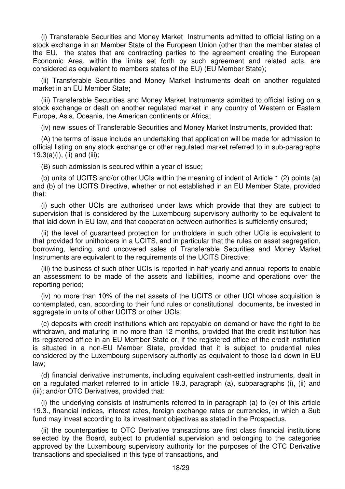(i) Transferable Securities and Money Market Instruments admitted to official listing on a stock exchange in an Member State of the European Union (other than the member states of the EU, the states that are contracting parties to the agreement creating the European Economic Area, within the limits set forth by such agreement and related acts, are considered as equivalent to members states of the EU) (EU Member State);

(ii) Transferable Securities and Money Market Instruments dealt on another regulated market in an EU Member State;

(iii) Transferable Securities and Money Market Instruments admitted to official listing on a stock exchange or dealt on another regulated market in any country of Western or Eastern Europe, Asia, Oceania, the American continents or Africa;

(iv) new issues of Transferable Securities and Money Market Instruments, provided that:

(A) the terms of issue include an undertaking that application will be made for admission to official listing on any stock exchange or other regulated market referred to in sub-paragraphs  $19.3(a)(i)$ , (ii) and (iii);

(B) such admission is secured within a year of issue;

(b) units of UCITS and/or other UCIs within the meaning of indent of Article 1 (2) points (a) and (b) of the UCITS Directive, whether or not established in an EU Member State, provided that:

(i) such other UCIs are authorised under laws which provide that they are subject to supervision that is considered by the Luxembourg supervisory authority to be equivalent to that laid down in EU law, and that cooperation between authorities is sufficiently ensured;

(ii) the level of guaranteed protection for unitholders in such other UCIs is equivalent to that provided for unitholders in a UCITS, and in particular that the rules on asset segregation, borrowing, lending, and uncovered sales of Transferable Securities and Money Market Instruments are equivalent to the requirements of the UCITS Directive;

(iii) the business of such other UCIs is reported in half-yearly and annual reports to enable an assessment to be made of the assets and liabilities, income and operations over the reporting period;

(iv) no more than 10% of the net assets of the UCITS or other UCI whose acquisition is contemplated, can, according to their fund rules or constitutional documents, be invested in aggregate in units of other UCITS or other UCIs;

(c) deposits with credit institutions which are repayable on demand or have the right to be withdrawn, and maturing in no more than 12 months, provided that the credit institution has its registered office in an EU Member State or, if the registered office of the credit institution is situated in a non-EU Member State, provided that it is subject to prudential rules considered by the Luxembourg supervisory authority as equivalent to those laid down in EU law;

(d) financial derivative instruments, including equivalent cash-settled instruments, dealt in on a regulated market referred to in article 19.3, paragraph (a), subparagraphs (i), (ii) and (iii); and/or OTC Derivatives, provided that:

(i) the underlying consists of instruments referred to in paragraph (a) to (e) of this article 19.3., financial indices, interest rates, foreign exchange rates or currencies, in which a Sub fund may invest according to its investment objectives as stated in the Prospectus,

(ii) the counterparties to OTC Derivative transactions are first class financial institutions selected by the Board, subject to prudential supervision and belonging to the categories approved by the Luxembourg supervisory authority for the purposes of the OTC Derivative transactions and specialised in this type of transactions, and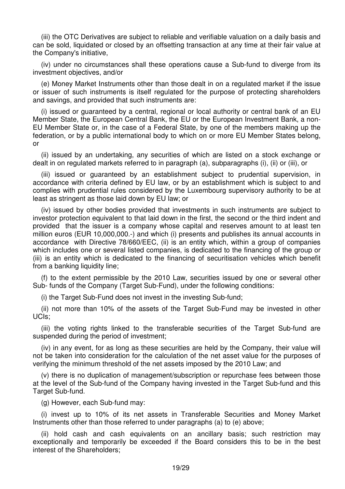(iii) the OTC Derivatives are subject to reliable and verifiable valuation on a daily basis and can be sold, liquidated or closed by an offsetting transaction at any time at their fair value at the Company's initiative,

(iv) under no circumstances shall these operations cause a Sub-fund to diverge from its investment objectives, and/or

(e) Money Market Instruments other than those dealt in on a regulated market if the issue or issuer of such instruments is itself regulated for the purpose of protecting shareholders and savings, and provided that such instruments are:

(i) issued or guaranteed by a central, regional or local authority or central bank of an EU Member State, the European Central Bank, the EU or the European Investment Bank, a non-EU Member State or, in the case of a Federal State, by one of the members making up the federation, or by a public international body to which on or more EU Member States belong, or

(ii) issued by an undertaking, any securities of which are listed on a stock exchange or dealt in on regulated markets referred to in paragraph (a), subparagraphs (i), (ii) or (iii), or

(iii) issued or guaranteed by an establishment subject to prudential supervision, in accordance with criteria defined by EU law, or by an establishment which is subject to and complies with prudential rules considered by the Luxembourg supervisory authority to be at least as stringent as those laid down by EU law; or

(iv) issued by other bodies provided that investments in such instruments are subject to investor protection equivalent to that laid down in the first, the second or the third indent and provided that the issuer is a company whose capital and reserves amount to at least ten million euros (EUR 10,000,000.-) and which (i) presents and publishes its annual accounts in accordance with Directive 78/660/EEC, (ii) is an entity which, within a group of companies which includes one or several listed companies, is dedicated to the financing of the group or (iii) is an entity which is dedicated to the financing of securitisation vehicles which benefit from a banking liquidity line;

(f) to the extent permissible by the 2010 Law, securities issued by one or several other Sub- funds of the Company (Target Sub-Fund), under the following conditions:

(i) the Target Sub-Fund does not invest in the investing Sub-fund;

(ii) not more than 10% of the assets of the Target Sub-Fund may be invested in other UCIs;

(iii) the voting rights linked to the transferable securities of the Target Sub-fund are suspended during the period of investment;

(iv) in any event, for as long as these securities are held by the Company, their value will not be taken into consideration for the calculation of the net asset value for the purposes of verifying the minimum threshold of the net assets imposed by the 2010 Law; and

(v) there is no duplication of management/subscription or repurchase fees between those at the level of the Sub-fund of the Company having invested in the Target Sub-fund and this Target Sub-fund.

(g) However, each Sub-fund may:

(i) invest up to 10% of its net assets in Transferable Securities and Money Market Instruments other than those referred to under paragraphs (a) to (e) above;

(ii) hold cash and cash equivalents on an ancillary basis; such restriction may exceptionally and temporarily be exceeded if the Board considers this to be in the best interest of the Shareholders;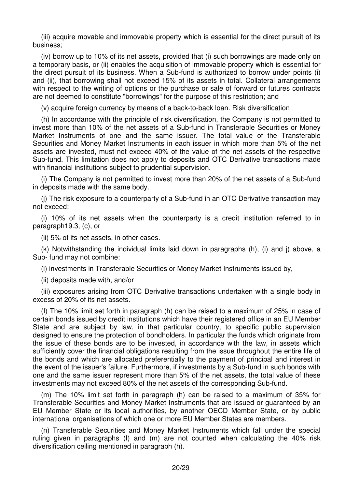(iii) acquire movable and immovable property which is essential for the direct pursuit of its business;

(iv) borrow up to 10% of its net assets, provided that (i) such borrowings are made only on a temporary basis, or (ii) enables the acquisition of immovable property which is essential for the direct pursuit of its business. When a Sub-fund is authorized to borrow under points (i) and (ii), that borrowing shall not exceed 15% of its assets in total. Collateral arrangements with respect to the writing of options or the purchase or sale of forward or futures contracts are not deemed to constitute "borrowings" for the purpose of this restriction; and

(v) acquire foreign currency by means of a back-to-back loan. Risk diversification

(h) In accordance with the principle of risk diversification, the Company is not permitted to invest more than 10% of the net assets of a Sub-fund in Transferable Securities or Money Market Instruments of one and the same issuer. The total value of the Transferable Securities and Money Market Instruments in each issuer in which more than 5% of the net assets are invested, must not exceed 40% of the value of the net assets of the respective Sub-fund. This limitation does not apply to deposits and OTC Derivative transactions made with financial institutions subject to prudential supervision.

(i) The Company is not permitted to invest more than 20% of the net assets of a Sub-fund in deposits made with the same body.

(j) The risk exposure to a counterparty of a Sub-fund in an OTC Derivative transaction may not exceed:

(i) 10% of its net assets when the counterparty is a credit institution referred to in paragraph19.3, (c), or

(ii) 5% of its net assets, in other cases.

(k) Notwithstanding the individual limits laid down in paragraphs (h), (i) and j) above, a Sub- fund may not combine:

(i) investments in Transferable Securities or Money Market Instruments issued by,

(ii) deposits made with, and/or

(iii) exposures arising from OTC Derivative transactions undertaken with a single body in excess of 20% of its net assets.

(I) The 10% limit set forth in paragraph (h) can be raised to a maximum of 25% in case of certain bonds issued by credit institutions which have their registered office in an EU Member State and are subject by law, in that particular country, to specific public supervision designed to ensure the protection of bondholders. In particular the funds which originate from the issue of these bonds are to be invested, in accordance with the law, in assets which sufficiently cover the financial obligations resulting from the issue throughout the entire life of the bonds and which are allocated preferentially to the payment of principal and interest in the event of the issuer's failure. Furthermore, if investments by a Sub-fund in such bonds with one and the same issuer represent more than 5% of the net assets, the total value of these investments may not exceed 80% of the net assets of the corresponding Sub-fund.

(m) The 10% limit set forth in paragraph (h) can be raised to a maximum of 35% for Transferable Securities and Money Market Instruments that are issued or guaranteed by an EU Member State or its local authorities, by another OECD Member State, or by public international organisations of which one or more EU Member States are members.

(n) Transferable Securities and Money Market Instruments which fall under the special ruling given in paragraphs (I) and (m) are not counted when calculating the 40% risk diversification ceiling mentioned in paragraph (h).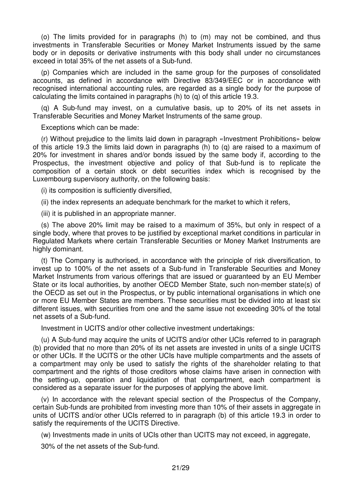(o) The limits provided for in paragraphs (h) to (m) may not be combined, and thus investments in Transferable Securities or Money Market Instruments issued by the same body or in deposits or derivative instruments with this body shall under no circumstances exceed in total 35% of the net assets of a Sub-fund.

(p) Companies which are included in the same group for the purposes of consolidated accounts, as defined in accordance with Directive 83/349/EEC or in accordance with recognised international accounting rules, are regarded as a single body for the purpose of calculating the limits contained in paragraphs (h) to (q) of this article 19.3.

(q) A Sub-fund may invest, on a cumulative basis, up to 20% of its net assets in Transferable Securities and Money Market Instruments of the same group.

Exceptions which can be made:

(r) Without prejudice to the limits laid down in paragraph «Investment Prohibitions» below of this article 19.3 the limits laid down in paragraphs (h) to (q) are raised to a maximum of 20% for investment in shares and/or bonds issued by the same body if, according to the Prospectus, the investment objective and policy of that Sub-fund is to replicate the composition of a certain stock or debt securities index which is recognised by the Luxembourg supervisory authority, on the following basis:

(i) its composition is sufficiently diversified,

(ii) the index represents an adequate benchmark for the market to which it refers,

(iii) it is published in an appropriate manner.

(s) The above 20% limit may be raised to a maximum of 35%, but only in respect of a single body, where that proves to be justified by exceptional market conditions in particular in Regulated Markets where certain Transferable Securities or Money Market Instruments are highly dominant.

(t) The Company is authorised, in accordance with the principle of risk diversification, to invest up to 100% of the net assets of a Sub-fund in Transferable Securities and Money Market Instruments from various offerings that are issued or guaranteed by an EU Member State or its local authorities, by another OECD Member State, such non-member state(s) of the OECD as set out in the Prospectus, or by public international organisations in which one or more EU Member States are members. These securities must be divided into at least six different issues, with securities from one and the same issue not exceeding 30% of the total net assets of a Sub-fund.

Investment in UCITS and/or other collective investment undertakings:

(u) A Sub-fund may acquire the units of UCITS and/or other UCIs referred to in paragraph (b) provided that no more than 20% of its net assets are invested in units of a single UCITS or other UCIs. If the UCITS or the other UCIs have multiple compartments and the assets of a compartment may only be used to satisfy the rights of the shareholder relating to that compartment and the rights of those creditors whose claims have arisen in connection with the setting-up, operation and liquidation of that compartment, each compartment is considered as a separate issuer for the purposes of applying the above limit.

(v) In accordance with the relevant special section of the Prospectus of the Company, certain Sub-funds are prohibited from investing more than 10% of their assets in aggregate in units of UCITS and/or other UCIs referred to in paragraph (b) of this article 19.3 in order to satisfy the requirements of the UCITS Directive.

(w) Investments made in units of UCIs other than UCITS may not exceed, in aggregate,

30% of the net assets of the Sub-fund.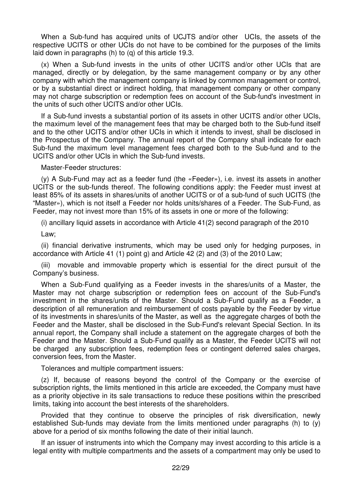When a Sub-fund has acquired units of UCJTS and/or other UCIs, the assets of the respective UCITS or other UCIs do not have to be combined for the purposes of the limits laid down in paragraphs (h) to (q) of this article 19.3.

(x) When a Sub-fund invests in the units of other UCITS and/or other UCIs that are managed, directly or by delegation, by the same management company or by any other company with which the management company is linked by common management or control, or by a substantial direct or indirect holding, that management company or other company may not charge subscription or redemption fees on account of the Sub-fund's investment in the units of such other UCITS and/or other UCIs.

If a Sub-fund invests a substantial portion of its assets in other UCITS and/or other UCIs, the maximum level of the management fees that may be charged both to the Sub-fund itself and to the other UCITS and/or other UCIs in which it intends to invest, shall be disclosed in the Prospectus of the Company. The annual report of the Company shall indicate for each Sub-fund the maximum level management fees charged both to the Sub-fund and to the UCITS and/or other UCIs in which the Sub-fund invests.

Master-Feeder structures:

(y) A Sub-Fund may act as a feeder fund (the «Feeder»), i.e. invest its assets in another UCITS or the sub-funds thereof. The following conditions apply: the Feeder must invest at least 85% of its assets in shares/units of another UCITS or of a sub-fund of such UCITS (the "Master»), which is not itself a Feeder nor holds units/shares of a Feeder. The Sub-Fund, as Feeder, may not invest more than 15% of its assets in one or more of the following:

(i) ancillary liquid assets in accordance with Article 41(2) second paragraph of the 2010

Law;

(ii) financial derivative instruments, which may be used only for hedging purposes, in accordance with Article 41 (1) point g) and Article 42 (2) and (3) of the 2010 Law;

(iii) movable and immovable property which is essential for the direct pursuit of the Company's business.

When a Sub-Fund qualifying as a Feeder invests in the shares/units of a Master, the Master may not charge subscription or redemption fees on account of the Sub-Fund's investment in the shares/units of the Master. Should a Sub-Fund qualify as a Feeder, a description of all remuneration and reimbursement of costs payable by the Feeder by virtue of its investments in shares/units of the Master, as well as the aggregate charges of both the Feeder and the Master, shall be disclosed in the Sub-Fund's relevant Special Section. In its annual report, the Company shall include a statement on the aggregate charges of both the Feeder and the Master. Should a Sub-Fund qualify as a Master, the Feeder UCITS will not be charged any subscription fees, redemption fees or contingent deferred sales charges, conversion fees, from the Master.

Tolerances and multiple compartment issuers:

(z) If, because of reasons beyond the control of the Company or the exercise of subscription rights, the limits mentioned in this article are exceeded, the Company must have as a priority objective in its sale transactions to reduce these positions within the prescribed limits, taking into account the best interests of the shareholders.

Provided that they continue to observe the principles of risk diversification, newly established Sub-funds may deviate from the limits mentioned under paragraphs (h) to (y) above for a period of six months following the date of their initial launch.

If an issuer of instruments into which the Company may invest according to this article is a legal entity with multiple compartments and the assets of a compartment may only be used to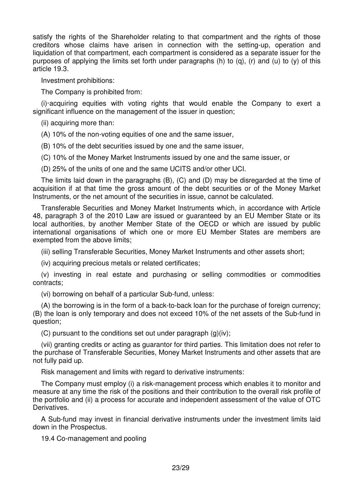satisfy the rights of the Shareholder relating to that compartment and the rights of those creditors whose claims have arisen in connection with the setting-up, operation and liquidation of that compartment, each compartment is considered as a separate issuer for the purposes of applying the limits set forth under paragraphs (h) to (g), (r) and (u) to (y) of this article 19.3.

Investment prohibitions:

The Company is prohibited from:

(i)·acquiring equities with voting rights that would enable the Company to exert a significant influence on the management of the issuer in question;

(ii) acquiring more than:

(A) 10% of the non-voting equities of one and the same issuer,

(B) 10% of the debt securities issued by one and the same issuer,

(C) 10% of the Money Market Instruments issued by one and the same issuer, or

(D) 25% of the units of one and the same UCITS and/or other UCI.

The limits laid down in the paragraphs (B), (C) and (D) may be disregarded at the time of acquisition if at that time the gross amount of the debt securities or of the Money Market Instruments, or the net amount of the securities in issue, cannot be calculated.

Transferable Securities and Money Market Instruments which, in accordance with Article 48, paragraph 3 of the 2010 Law are issued or guaranteed by an EU Member State or its local authorities, by another Member State of the OECD or which are issued by public international organisations of which one or more EU Member States are members are exempted from the above limits;

(iii) selling Transferable Securities, Money Market Instruments and other assets short;

(iv) acquiring precious metals or related certificates;

(v) investing in real estate and purchasing or selling commodities or commodities contracts;

(vi) borrowing on behalf of a particular Sub-fund, unless:

(A) the borrowing is in the form of a back-to-back loan for the purchase of foreign currency; (B) the loan is only temporary and does not exceed 10% of the net assets of the Sub-fund in question;

(C) pursuant to the conditions set out under paragraph  $(g)(iv)$ ;

(vii) granting credits or acting as guarantor for third parties. This limitation does not refer to the purchase of Transferable Securities, Money Market Instruments and other assets that are not fully paid up.

Risk management and limits with regard to derivative instruments:

The Company must employ (i) a risk-management process which enables it to monitor and measure at any time the risk of the positions and their contribution to the overall risk profile of the portfolio and (ii) a process for accurate and independent assessment of the value of OTC Derivatives.

A Sub-fund may invest in financial derivative instruments under the investment limits laid down in the Prospectus.

19.4 Co-management and pooling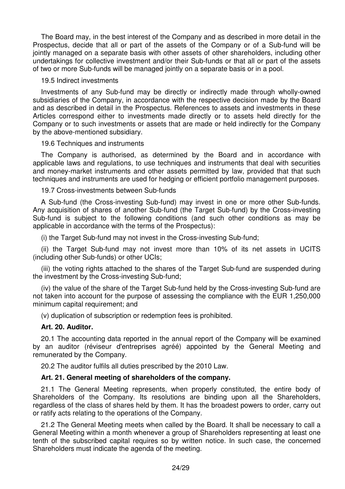The Board may, in the best interest of the Company and as described in more detail in the Prospectus, decide that all or part of the assets of the Company or of a Sub-fund will be jointly managed on a separate basis with other assets of other shareholders, including other undertakings for collective investment and/or their Sub-funds or that all or part of the assets of two or more Sub-funds will be managed jointly on a separate basis or in a pool.

#### 19.5 Indirect investments

Investments of any Sub-fund may be directly or indirectly made through wholly-owned subsidiaries of the Company, in accordance with the respective decision made by the Board and as described in detail in the Prospectus. References to assets and investments in these Articles correspond either to investments made directly or to assets held directly for the Company or to such investments or assets that are made or held indirectly for the Company by the above-mentioned subsidiary.

19.6 Techniques and instruments

The Company is authorised, as determined by the Board and in accordance with applicable laws and regulations, to use techniques and instruments that deal with securities and money-market instruments and other assets permitted by law, provided that that such techniques and instruments are used for hedging or efficient portfolio management purposes.

#### 19.7 Cross-investments between Sub-funds

A Sub-fund (the Cross-investing Sub-fund) may invest in one or more other Sub-funds. Any acquisition of shares of another Sub-fund (the Target Sub-fund) by the Cross-investing Sub-fund is subject to the following conditions (and such other conditions as may be applicable in accordance with the terms of the Prospectus):

(i) the Target Sub-fund may not invest in the Cross-investing Sub-fund;

(ii) the Target Sub-fund may not invest more than 10% of its net assets in UCITS (including other Sub-funds) or other UCIs;

(iii) the voting rights attached to the shares of the Target Sub-fund are suspended during the investment by the Cross-investing Sub-fund;

(iv) the value of the share of the Target Sub-fund held by the Cross-investing Sub-fund are not taken into account for the purpose of assessing the compliance with the EUR 1,250,000 minimum capital requirement; and

(v) duplication of subscription or redemption fees is prohibited.

#### **Art. 20. Auditor.**

20.1 The accounting data reported in the annual report of the Company will be examined by an auditor (réviseur d'entreprises agréé) appointed by the General Meeting and remunerated by the Company.

20.2 The auditor fulfils all duties prescribed by the 2010 Law.

# **Art. 21. General meeting of shareholders of the company.**

21.1 The General Meeting represents, when properly constituted, the entire body of Shareholders of the Company. Its resolutions are binding upon all the Shareholders, regardless of the class of shares held by them. It has the broadest powers to order, carry out or ratify acts relating to the operations of the Company.

21.2 The General Meeting meets when called by the Board. It shall be necessary to call a General Meeting within a month whenever a group of Shareholders representing at least one tenth of the subscribed capital requires so by written notice. In such case, the concerned Shareholders must indicate the agenda of the meeting.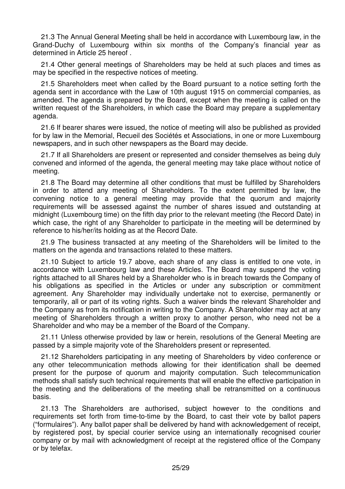21.3 The Annual General Meeting shall be held in accordance with Luxembourg law, in the Grand-Duchy of Luxembourg within six months of the Company's financial year as determined in Article 25 hereof .

21.4 Other general meetings of Shareholders may be held at such places and times as may be specified in the respective notices of meeting.

21.5 Shareholders meet when called by the Board pursuant to a notice setting forth the agenda sent in accordance with the Law of 10th august 1915 on commercial companies, as amended. The agenda is prepared by the Board, except when the meeting is called on the written request of the Shareholders, in which case the Board may prepare a supplementary agenda.

21.6 If bearer shares were issued, the notice of meeting will also be published as provided for by law in the Memorial, Recueil des Sociétés et Associations, in one or more Luxembourg newspapers, and in such other newspapers as the Board may decide.

21.7 If all Shareholders are present or represented and consider themselves as being duly convened and informed of the agenda, the general meeting may take place without notice of meeting.

21.8 The Board may determine all other conditions that must be fulfilled by Shareholders in order to attend any meeting of Shareholders. To the extent permitted by law, the convening notice to a general meeting may provide that the quorum and majority requirements will be assessed against the number of shares issued and outstanding at midnight (Luxembourg time) on the fifth day prior to the relevant meeting (the Record Date) in which case, the right of any Shareholder to participate in the meeting will be determined by reference to his/her/its holding as at the Record Date.

21.9 The business transacted at any meeting of the Shareholders will be limited to the matters on the agenda and transactions related to these matters.

21.10 Subject to article 19.7 above, each share of any class is entitled to one vote, in accordance with Luxembourg law and these Articles. The Board may suspend the voting rights attached to all Shares held by a Shareholder who is in breach towards the Company of his obligations as specified in the Articles or under any subscription or commitment agreement. Any Shareholder may individually undertake not to exercise, permanently or temporarily, all or part of its voting rights. Such a waiver binds the relevant Shareholder and the Company as from its notification in writing to the Company. A Shareholder may act at any meeting of Shareholders through a written proxy to another person, who need not be a Shareholder and who may be a member of the Board of the Company.

21.11 Unless otherwise provided by law or herein, resolutions of the General Meeting are passed by a simple majority vote of the Shareholders present or represented.

21.12 Shareholders participating in any meeting of Shareholders by video conference or any other telecommunication methods allowing for their identification shall be deemed present for the purpose of quorum and majority computation. Such telecommunication methods shall satisfy such technical requirements that will enable the effective participation in the meeting and the deliberations of the meeting shall be retransmitted on a continuous basis.

21.13 The Shareholders are authorised, subject however to the conditions and requirements set forth from time-to-time by the Board, to cast their vote by ballot papers ("formulaires"). Any ballot paper shall be delivered by hand with acknowledgement of receipt, by registered post, by special courier service using an internationally recognised courier company or by mail with acknowledgment of receipt at the registered office of the Company or by telefax.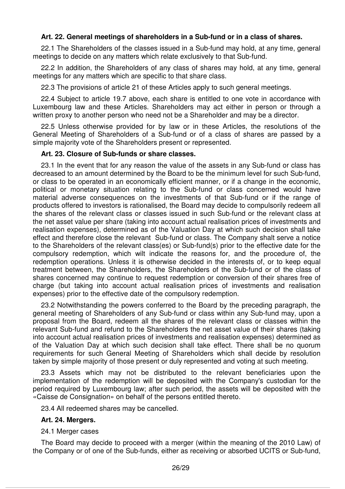# **Art. 22. General meetings of shareholders in a Sub-fund or in a class of shares.**

22.1 The Shareholders of the classes issued in a Sub-fund may hold, at any time, general meetings to decide on any matters which relate exclusively to that Sub-fund.

22.2 In addition, the Shareholders of any class of shares may hold, at any time, general meetings for any matters which are specific to that share class.

22.3 The provisions of article 21 of these Articles apply to such general meetings.

22.4 Subject to article 19.7 above, each share is entitled to one vote in accordance with Luxembourg law and these Articles. Shareholders may act either in person or through a written proxy to another person who need not be a Shareholder and may be a director.

22.5 Unless otherwise provided for by law or in these Articles, the resolutions of the General Meeting of Shareholders of a Sub-fund or of a class of shares are passed by a simple majority vote of the Shareholders present or represented.

# **Art. 23. Closure of Sub-funds or share classes.**

23.1 In the event that for any reason the value of the assets in any Sub-fund or class has decreased to an amount determined by the Board to be the minimum level for such Sub-fund, or class to be operated in an economically efficient manner, or if a change in the economic, political or monetary situation relating to the Sub-fund or class concerned would have material adverse consequences on the investments of that Sub-fund or if the range of products offered to investors is rationalised, the Board may decide to compulsorily redeem all the shares of the relevant class or classes issued in such Sub-fund or the relevant class at the net asset value per share (taking into account actual realisation prices of investments and realisation expenses), determined as of the Valuation Day at which such decision shall take effect and therefore close the relevant Sub-fund or class. The Company shalt serve a notice to the Shareholders of the relevant class(es) or Sub-fund(s) prior to the effective date for the compulsory redemption, which wilt indicate the reasons for, and the procedure of, the redemption operations. Unless it is otherwise decided in the interests of, or to keep equal treatment between, the Shareholders, the Shareholders of the Sub-fund or of the class of shares concerned may continue to request redemption or conversion of their shares free of charge (but taking into account actual realisation prices of investments and realisation expenses) prior to the effective date of the compulsory redemption.

23.2 Notwithstanding the powers conferred to the Board by the preceding paragraph, the general meeting of Shareholders of any Sub-fund or class within any Sub-fund may, upon a proposal from the Board, redeem all the shares of the relevant class or classes within the relevant Sub-fund and refund to the Shareholders the net asset value of their shares (taking into account actual realisation prices of investments and realisation expenses) determined as of the Valuation Day at which such decision shall take effect. There shall be no quorum requirements for such General Meeting of Shareholders which shall decide by resolution taken by simple majority of those present or duly represented and voting at such meeting.

23.3 Assets which may not be distributed to the relevant beneficiaries upon the implementation of the redemption will be deposited with the Company's custodian for the period required by Luxembourg law; after such period, the assets will be deposited with the «Caisse de Consignation» on behalf of the persons entitled thereto.

23.4 All redeemed shares may be cancelled.

# **Art. 24. Mergers.**

# 24.1 Merger cases

The Board may decide to proceed with a merger (within the meaning of the 2010 Law) of the Company or of one of the Sub-funds, either as receiving or absorbed UCITS or Sub-fund,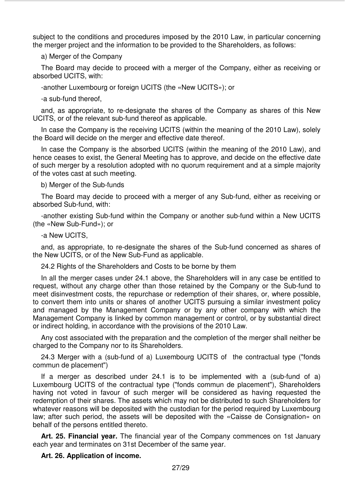subject to the conditions and procedures imposed by the 2010 Law, in particular concerning the merger project and the information to be provided to the Shareholders, as follows:

a) Merger of the Company

The Board may decide to proceed with a merger of the Company, either as receiving or absorbed UCITS, with:

-another Luxembourg or foreign UCITS (the «New UCITS»); or

-a sub-fund thereof,

and, as appropriate, to re-designate the shares of the Company as shares of this New UCITS, or of the relevant sub-fund thereof as applicable.

In case the Company is the receiving UCITS (within the meaning of the 2010 Law), solely the Board will decide on the merger and effective date thereof.

In case the Company is the absorbed UCITS (within the meaning of the 2010 Law), and hence ceases to exist, the General Meeting has to approve, and decide on the effective date of such merger by a resolution adopted with no quorum requirement and at a simple majority of the votes cast at such meeting.

b) Merger of the Sub-funds

The Board may decide to proceed with a merger of any Sub-fund, either as receiving or absorbed Sub-fund, with:

-another existing Sub-fund within the Company or another sub-fund within a New UCITS (the «New Sub-Fund»); or

-a New UCITS,

and, as appropriate, to re-designate the shares of the Sub-fund concerned as shares of the New UCITS, or of the New Sub-Fund as applicable.

24.2 Rights of the Shareholders and Costs to be borne by them

In all the merger cases under 24.1 above, the Shareholders will in any case be entitled to request, without any charge other than those retained by the Company or the Sub-fund to meet disinvestment costs, the repurchase or redemption of their shares, or, where possible, to convert them into units or shares of another UCITS pursuing a similar investment policy and managed by the Management Company or by any other company with which the Management Company is linked by common management or control, or by substantial direct or indirect holding, in accordance with the provisions of the 2010 Law.

Any cost associated with the preparation and the completion of the merger shall neither be charged to the Company nor to its Shareholders.

24.3 Merger with a (sub-fund of a) Luxembourg UCITS of the contractual type ("fonds commun de placement")

If a merger as described under 24.1 is to be implemented with a (sub-fund of a) Luxembourg UCITS of the contractual type ("fonds commun de placement"), Shareholders having not voted in favour of such merger will be considered as having requested the redemption of their shares. The assets which may not be distributed to such Shareholders for whatever reasons will be deposited with the custodian for the period required by Luxembourg law; after such period, the assets will be deposited with the «Caisse de Consignation» on behalf of the persons entitled thereto.

**Art. 25. Financial year.** The financial year of the Company commences on 1st January each year and terminates on 31st December of the same year.

#### **Art. 26. Application of income.**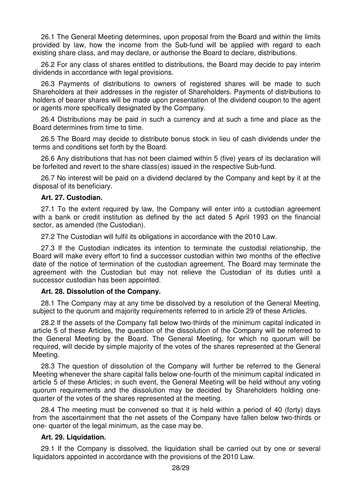26.1 The General Meeting determines, upon proposal from the Board and within the limits provided by law, how the income from the Sub-fund will be applied with regard to each existing share class, and may declare, or authorise the Board to declare, distributions.

26.2 For any class of shares entitled to distributions, the Board may decide to pay interim dividends in accordance with legal provisions.

26.3 Payments of distributions to owners of registered shares will be made to such Shareholders at their addresses in the register of Shareholders. Payments of distributions to holders of bearer shares will be made upon presentation of the dividend coupon to the agent or agents more specifically designated by the Company.

26.4 Distributions may be paid in such a currency and at such a time and place as the Board determines from time to time.

26.5 The Board may decide to distribute bonus stock in lieu of cash dividends under the terms and conditions set forth by the Board.

26.6 Any distributions that has not been claimed within 5 (five) years of its declaration will be forfeited and revert to the share class(es) issued in the respective Sub-fund.

26.7 No interest will be paid on a dividend declared by the Company and kept by it at the disposal of its beneficiary.

#### **Art. 27. Custodian.**

27.1 To the extent required by law, the Company will enter into a custodian agreement with a bank or credit institution as defined by the act dated 5 April 1993 on the financial sector, as amended (the Custodian).

27.2 The Custodian will fulfil its obligations in accordance with the 2010 Law.

27.3 If the Custodian indicates its intention to terminate the custodial relationship, the Board will make every effort to find a successor custodian within two months of the effective date of the notice of termination of the custodian agreement. The Board may terminate the agreement with the Custodian but may not relieve the Custodian of its duties until a successor custodian has been appointed.

#### **Art. 28. Dissolution of the Company.**

28.1 The Company may at any time be dissolved by a resolution of the General Meeting, subject to the quorum and majority requirements referred to in article 29 of these Articles.

28.2 If the assets of the Company fall below two-thirds of the minimum capital indicated in article 5 of these Articles, the question of the dissolution of the Company will be referred to the General Meeting by the Board. The General Meeting, for which no quorum will be required, will decide by simple majority of the votes of the shares represented at the General Meeting.

28.3 The question of dissolution of the Company will further be referred to the General Meeting whenever the share capital falls below one-fourth of the minimum capital indicated in article 5 of these Articles; in such event, the General Meeting will be held without any voting quorum requirements and the dissolution may be decided by Shareholders holding onequarter of the votes of the shares represented at the meeting.

28.4 The meeting must be convened so that it is held within a period of 40 (forty) days from the ascertainment that the net assets of the Company have fallen below two-thirds or one- quarter of the legal minimum, as the case may be.

## **Art. 29. Liquidation.**

29.1 If the Company is dissolved, the liquidation shall be carried out by one or several liquidators appointed in accordance with the provisions of the 2010 Law.